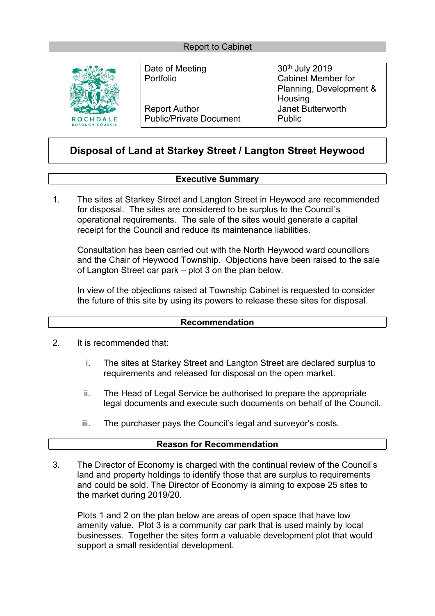

Report Author **Intervalle Server Author** Janet Butterworth Public/Private Document Public

Date of Meeting 30<sup>th</sup> July 2019 Portfolio Cabinet Member for Planning, Development & **Housing** 

# **Disposal of Land at Starkey Street / Langton Street Heywood**

# **Executive Summary**

1. The sites at Starkey Street and Langton Street in Heywood are recommended for disposal. The sites are considered to be surplus to the Council's operational requirements. The sale of the sites would generate a capital receipt for the Council and reduce its maintenance liabilities.

Consultation has been carried out with the North Heywood ward councillors and the Chair of Heywood Township. Objections have been raised to the sale of Langton Street car park – plot 3 on the plan below.

In view of the objections raised at Township Cabinet is requested to consider the future of this site by using its powers to release these sites for disposal.

### **Recommendation**

- 2. It is recommended that:
	- i. The sites at Starkey Street and Langton Street are declared surplus to requirements and released for disposal on the open market.
	- ii. The Head of Legal Service be authorised to prepare the appropriate legal documents and execute such documents on behalf of the Council.
	- iii. The purchaser pays the Council's legal and surveyor's costs.

## **Reason for Recommendation**

3. The Director of Economy is charged with the continual review of the Council's land and property holdings to identify those that are surplus to requirements and could be sold. The Director of Economy is aiming to expose 25 sites to the market during 2019/20.

Plots 1 and 2 on the plan below are areas of open space that have low amenity value. Plot 3 is a community car park that is used mainly by local businesses. Together the sites form a valuable development plot that would support a small residential development.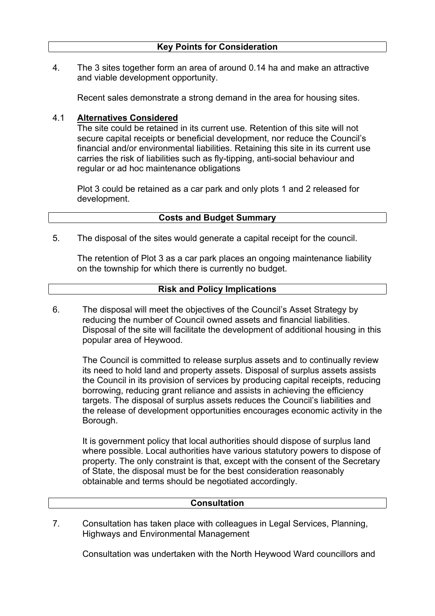4. The 3 sites together form an area of around 0.14 ha and make an attractive and viable development opportunity.

Recent sales demonstrate a strong demand in the area for housing sites.

#### 4.1 **Alternatives Considered**

The site could be retained in its current use. Retention of this site will not secure capital receipts or beneficial development, nor reduce the Council's financial and/or environmental liabilities. Retaining this site in its current use carries the risk of liabilities such as fly-tipping, anti-social behaviour and regular or ad hoc maintenance obligations

Plot 3 could be retained as a car park and only plots 1 and 2 released for development.

## **Costs and Budget Summary**

5. The disposal of the sites would generate a capital receipt for the council.

The retention of Plot 3 as a car park places an ongoing maintenance liability on the township for which there is currently no budget.

## **Risk and Policy Implications**

6. The disposal will meet the objectives of the Council's Asset Strategy by reducing the number of Council owned assets and financial liabilities. Disposal of the site will facilitate the development of additional housing in this popular area of Heywood.

The Council is committed to release surplus assets and to continually review its need to hold land and property assets. Disposal of surplus assets assists the Council in its provision of services by producing capital receipts, reducing borrowing, reducing grant reliance and assists in achieving the efficiency targets. The disposal of surplus assets reduces the Council's liabilities and the release of development opportunities encourages economic activity in the Borough.

It is government policy that local authorities should dispose of surplus land where possible. Local authorities have various statutory powers to dispose of property. The only constraint is that, except with the consent of the Secretary of State, the disposal must be for the best consideration reasonably obtainable and terms should be negotiated accordingly.

### **Consultation**

7. Consultation has taken place with colleagues in Legal Services, Planning, Highways and Environmental Management

Consultation was undertaken with the North Heywood Ward councillors and